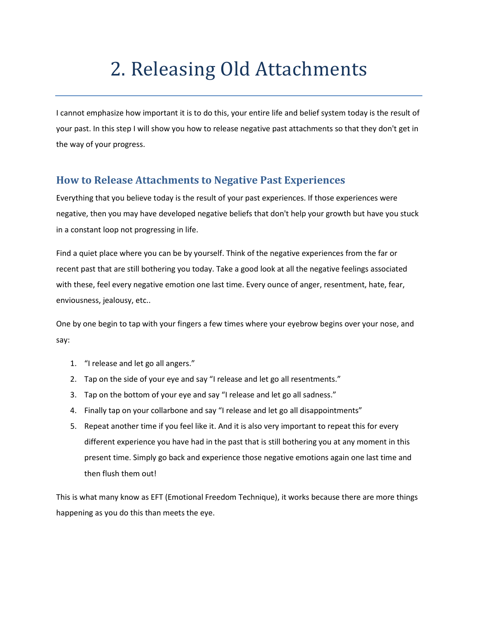## 2. Releasing Old Attachments

I cannot emphasize how important it is to do this, your entire life and belief system today is the result of your past. In this step I will show you how to release negative past attachments so that they don't get in the way of your progress.

## **How to Release Attachments to Negative Past Experiences**

Everything that you believe today is the result of your past experiences. If those experiences were negative, then you may have developed negative beliefs that don't help your growth but have you stuck in a constant loop not progressing in life.

Find a quiet place where you can be by yourself. Think of the negative experiences from the far or recent past that are still bothering you today. Take a good look at all the negative feelings associated with these, feel every negative emotion one last time. Every ounce of anger, resentment, hate, fear, enviousness, jealousy, etc..

One by one begin to tap with your fingers a few times where your eyebrow begins over your nose, and say:

- 1. "I release and let go all angers."
- 2. Tap on the side of your eye and say "I release and let go all resentments."
- 3. Tap on the bottom of your eye and say "I release and let go all sadness."
- 4. Finally tap on your collarbone and say "I release and let go all disappointments"
- 5. Repeat another time if you feel like it. And it is also very important to repeat this for every different experience you have had in the past that is still bothering you at any moment in this present time. Simply go back and experience those negative emotions again one last time and then flush them out!

This is what many know as EFT (Emotional Freedom Technique), it works because there are more things happening as you do this than meets the eye.